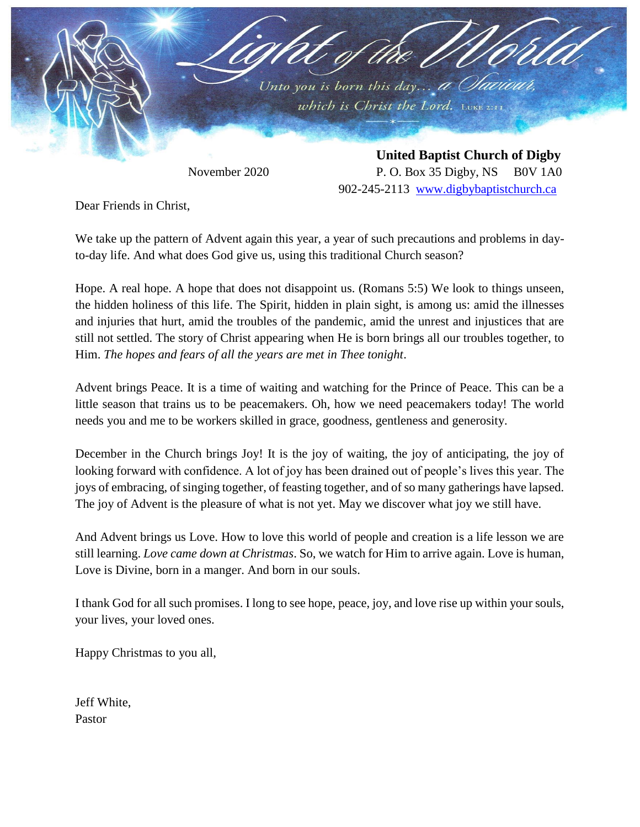

November 2020 P. O. Box 35 Digby, NS B0V 1A0 902-245-2113 [www.digbybaptistchurch.ca](http://www.digbybaptistchurch.ca/)

Dear Friends in Christ,

We take up the pattern of Advent again this year, a year of such precautions and problems in dayto-day life. And what does God give us, using this traditional Church season?

Hope. A real hope. A hope that does not disappoint us. (Romans 5:5) We look to things unseen, the hidden holiness of this life. The Spirit, hidden in plain sight, is among us: amid the illnesses and injuries that hurt, amid the troubles of the pandemic, amid the unrest and injustices that are still not settled. The story of Christ appearing when He is born brings all our troubles together, to Him. *The hopes and fears of all the years are met in Thee tonight*.

Advent brings Peace. It is a time of waiting and watching for the Prince of Peace. This can be a little season that trains us to be peacemakers. Oh, how we need peacemakers today! The world needs you and me to be workers skilled in grace, goodness, gentleness and generosity.

December in the Church brings Joy! It is the joy of waiting, the joy of anticipating, the joy of looking forward with confidence. A lot of joy has been drained out of people's lives this year. The joys of embracing, of singing together, of feasting together, and of so many gatherings have lapsed. The joy of Advent is the pleasure of what is not yet. May we discover what joy we still have.

And Advent brings us Love. How to love this world of people and creation is a life lesson we are still learning. *Love came down at Christmas*. So, we watch for Him to arrive again. Love is human, Love is Divine, born in a manger. And born in our souls.

I thank God for all such promises. I long to see hope, peace, joy, and love rise up within your souls, your lives, your loved ones.

Happy Christmas to you all,

Jeff White, Pastor